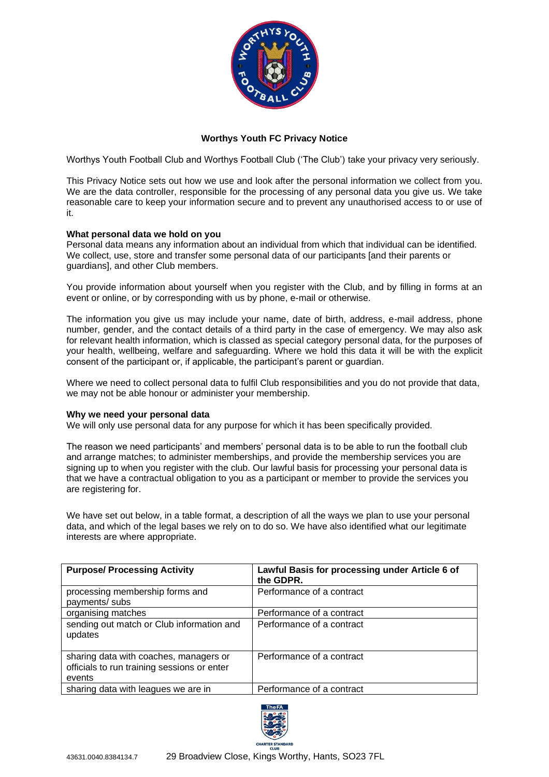

# **Worthys Youth FC Privacy Notice**

Worthys Youth Football Club and Worthys Football Club ('The Club') take your privacy very seriously.

This Privacy Notice sets out how we use and look after the personal information we collect from you. We are the data controller, responsible for the processing of any personal data you give us. We take reasonable care to keep your information secure and to prevent any unauthorised access to or use of it.

### **What personal data we hold on you**

Personal data means any information about an individual from which that individual can be identified. We collect, use, store and transfer some personal data of our participants [and their parents or guardians], and other Club members.

You provide information about yourself when you register with the Club, and by filling in forms at an event or online, or by corresponding with us by phone, e-mail or otherwise.

The information you give us may include your name, date of birth, address, e-mail address, phone number, gender, and the contact details of a third party in the case of emergency. We may also ask for relevant health information, which is classed as special category personal data, for the purposes of your health, wellbeing, welfare and safeguarding. Where we hold this data it will be with the explicit consent of the participant or, if applicable, the participant's parent or guardian.

Where we need to collect personal data to fulfil Club responsibilities and you do not provide that data, we may not be able honour or administer your membership.

#### **Why we need your personal data**

We will only use personal data for any purpose for which it has been specifically provided.

The reason we need participants' and members' personal data is to be able to run the football club and arrange matches; to administer memberships, and provide the membership services you are signing up to when you register with the club. Our lawful basis for processing your personal data is that we have a contractual obligation to you as a participant or member to provide the services you are registering for.

We have set out below, in a table format, a description of all the ways we plan to use your personal data, and which of the legal bases we rely on to do so. We have also identified what our legitimate interests are where appropriate.

| <b>Purpose/ Processing Activity</b>                                                             | Lawful Basis for processing under Article 6 of<br>the GDPR. |
|-------------------------------------------------------------------------------------------------|-------------------------------------------------------------|
| processing membership forms and<br>payments/ subs                                               | Performance of a contract                                   |
| organising matches                                                                              | Performance of a contract                                   |
| sending out match or Club information and<br>updates                                            | Performance of a contract                                   |
| sharing data with coaches, managers or<br>officials to run training sessions or enter<br>events | Performance of a contract                                   |
| sharing data with leagues we are in                                                             | Performance of a contract                                   |

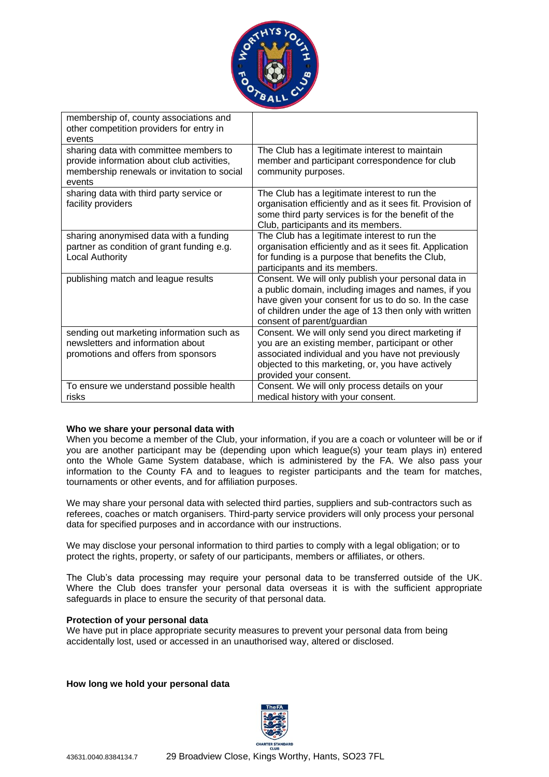

| membership of, county associations and<br>other competition providers for entry in<br>events                                                  |                                                                                                                                                                                                                                                            |
|-----------------------------------------------------------------------------------------------------------------------------------------------|------------------------------------------------------------------------------------------------------------------------------------------------------------------------------------------------------------------------------------------------------------|
| sharing data with committee members to<br>provide information about club activities,<br>membership renewals or invitation to social<br>events | The Club has a legitimate interest to maintain<br>member and participant correspondence for club<br>community purposes.                                                                                                                                    |
| sharing data with third party service or<br>facility providers                                                                                | The Club has a legitimate interest to run the<br>organisation efficiently and as it sees fit. Provision of<br>some third party services is for the benefit of the<br>Club, participants and its members.                                                   |
| sharing anonymised data with a funding<br>partner as condition of grant funding e.g.<br>Local Authority                                       | The Club has a legitimate interest to run the<br>organisation efficiently and as it sees fit. Application<br>for funding is a purpose that benefits the Club,<br>participants and its members.                                                             |
| publishing match and league results                                                                                                           | Consent. We will only publish your personal data in<br>a public domain, including images and names, if you<br>have given your consent for us to do so. In the case<br>of children under the age of 13 then only with written<br>consent of parent/guardian |
| sending out marketing information such as<br>newsletters and information about<br>promotions and offers from sponsors                         | Consent. We will only send you direct marketing if<br>you are an existing member, participant or other<br>associated individual and you have not previously<br>objected to this marketing, or, you have actively<br>provided your consent.                 |
| To ensure we understand possible health<br>risks                                                                                              | Consent. We will only process details on your<br>medical history with your consent.                                                                                                                                                                        |

## **Who we share your personal data with**

When you become a member of the Club, your information, if you are a coach or volunteer will be or if you are another participant may be (depending upon which league(s) your team plays in) entered onto the Whole Game System database, which is administered by the FA. We also pass your information to the County FA and to leagues to register participants and the team for matches, tournaments or other events, and for affiliation purposes.

We may share your personal data with selected third parties, suppliers and sub-contractors such as referees, coaches or match organisers. Third-party service providers will only process your personal data for specified purposes and in accordance with our instructions.

We may disclose your personal information to third parties to comply with a legal obligation; or to protect the rights, property, or safety of our participants, members or affiliates, or others.

The Club's data processing may require your personal data to be transferred outside of the UK. Where the Club does transfer your personal data overseas it is with the sufficient appropriate safeguards in place to ensure the security of that personal data.

## **Protection of your personal data**

We have put in place appropriate security measures to prevent your personal data from being accidentally lost, used or accessed in an unauthorised way, altered or disclosed.

**How long we hold your personal data**